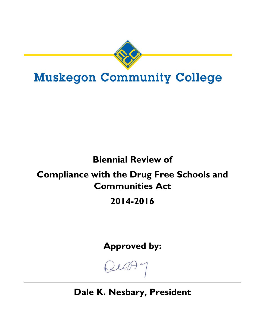

# **Muskegon Community College**

# **Biennial Review of**

# **Compliance with the Drug Free Schools and Communities Act**

# **2014-2016**

**Approved by:** 

**Dale K. Nesbary, President**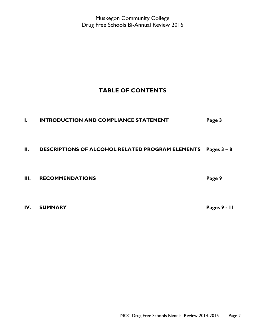# **TABLE OF CONTENTS**

# **I. INTRODUCTION AND COMPLIANCE STATEMENT Page 3**

# **II. DESCRIPTIONS OF ALCOHOL RELATED PROGRAM ELEMENTS Pages 3 – 8**

**III.** RECOMMENDATIONS **Page 9** 

**IV. SUMMARY Pages 9 - 11**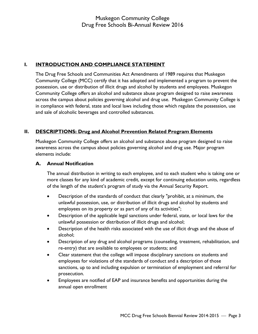# **I. INTRODUCTION AND COMPLIANCE STATEMENT**

The Drug Free Schools and Communities Act Amendments of 1989 requires that Muskegon Community College (MCC) certify that it has adopted and implemented a program to prevent the possession, use or distribution of illicit drugs and alcohol by students and employees. Muskegon Community College offers an alcohol and substance abuse program designed to raise awareness across the campus about policies governing alcohol and drug use. Muskegon Community College is in compliance with federal, state and local laws including those which regulate the possession, use and sale of alcoholic beverages and controlled substances.

# **II. DESCRIPTIONS: Drug and Alcohol Prevention Related Program Elements**

Muskegon Community College offers an alcohol and substance abuse program designed to raise awareness across the campus about policies governing alcohol and drug use. Major program elements include:

# **A. Annual Notification**

The annual distribution in writing to each employee, and to each student who is taking one or more classes for any kind of academic credit, except for continuing education units, regardless of the length of the student's program of study via the Annual Security Report.

- Description of the standards of conduct that clearly "prohibit, at a minimum, the unlawful possession, use, or distribution of illicit drugs and alcohol by students and employees on its property or as part of any of its activities";
- Description of the applicable legal sanctions under federal, state, or local laws for the unlawful possession or distribution of illicit drugs and alcohol;
- Description of the health risks associated with the use of illicit drugs and the abuse of alcohol;
- Description of any drug and alcohol programs (counseling, treatment, rehabilitation, and re-entry) that are available to employees or students; and
- Clear statement that the college will impose disciplinary sanctions on students and employees for violations of the standards of conduct and a description of those sanctions, up to and including expulsion or termination of employment and referral for prosecution.
- Employees are notified of EAP and insurance benefits and opportunities during the annual open enrollment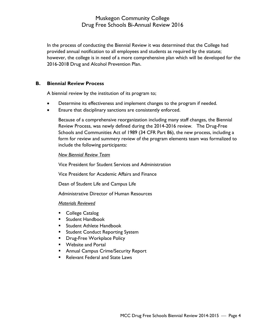In the process of conducting the Biennial Review it was determined that the College had provided annual notification to all employees and students as required by the statute; however, the college is in need of a more comprehensive plan which will be developed for the 2016-2018 Drug and Alcohol Prevention Plan.

#### **B. Biennial Review Process**

A biennial review by the institution of its program to;

- Determine its effectiveness and implement changes to the program if needed.
- Ensure that disciplinary sanctions are consistently enforced.

Because of a comprehensive reorganization including many staff changes, the Biennial Review Process, was newly defined during the 2014-2016 review. The Drug-Free Schools and Communities Act of 1989 (34 CFR Part 86), the new process, including a form for review and summery review of the program elements team was formalized to include the following participants:

#### *New Biennial Review Team*

Vice President for Student Services and Administration

Vice President for Academic Affairs and Finance

Dean of Student Life and Campus Life

Administrative Director of Human Resources

#### *Materials Reviewed*

- **College Catalog**
- Student Handbook
- **Student Athlete Handbook**
- **Student Conduct Reporting System**
- **Drug-Free Workplace Policy**
- **Website and Portal**
- **Annual Campus Crime/Security Report**
- Relevant Federal and State Laws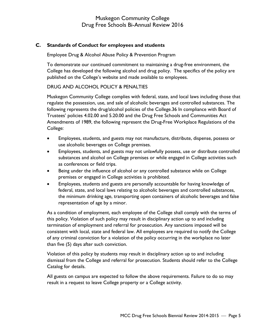### **C. Standards of Conduct for employees and students**

Employee Drug & Alcohol Abuse Policy & Prevention Program

To demonstrate our continued commitment to maintaining a drug-free environment, the College has developed the following alcohol and drug policy. The specifics of the policy are published on the College's website and made available to employees.

### DRUG AND ALCOHOL POLICY & PENALTIES

Muskegon Community College complies with federal, state, and local laws including those that regulate the possession, use, and sale of alcoholic beverages and controlled substances. The following represents the drug/alcohol policies of the College.36 In compliance with Board of Trustees' policies 4.02.00 and 5.20.00 and the Drug Free Schools and Communities Act Amendments of 1989, the following represent the Drug-Free Workplace Regulations of the College:

- Employees, students, and guests may not manufacture, distribute, dispense, possess or use alcoholic beverages on College premises.
- Employees, students, and guests may not unlawfully possess, use or distribute controlled substances and alcohol on College premises or while engaged in College activities such as conferences or field trips.
- Being under the influence of alcohol or any controlled substance while on College premises or engaged in College activities is prohibited.
- Employees, students and guests are personally accountable for having knowledge of federal, state, and local laws relating to alcoholic beverages and controlled substances, the minimum drinking age, transporting open containers of alcoholic beverages and false representation of age by a minor.

As a condition of employment, each employee of the College shall comply with the terms of this policy. Violation of such policy may result in disciplinary action up to and including termination of employment and referral for prosecution. Any sanctions imposed will be consistent with local, state and federal law. All employees are required to notify the College of any criminal conviction for a violation of the policy occurring in the workplace no later than five (5) days after such conviction.

Violation of this policy by students may result in disciplinary action up to and including dismissal from the College and referral for prosecution. Students should refer to the College Catalog for details.

All guests on campus are expected to follow the above requirements. Failure to do so may result in a request to leave College property or a College activity.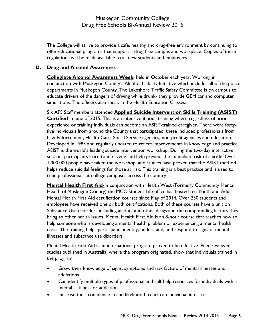The College will strive to provide a safe, healthy and drug-free environment by continuing to offer educational programs that support a drug-free campus and workplace. Copies of these regulations will be made available to all new students and employees.

#### **D. Drug and Alcohol Awareness**

**Collegiate Alcohol Awareness Week**, held in October each year. Working in conjunction with Muskegon County's Alcohol Liability Initiative which includes all of the police departments in Muskegon County. The Lakeshore Traffic Safety Committee is on campus to educate drivers of the dangers of driving while drunk- they provide GEM car and computer simulations. The officers also speak in the Health Education Classes.

Six APS Staff members attended **Applied Suicide Intervention Skills Training (ASIST) Certified** in June of 2015. This is an intensive 8 hour training where regardless of prior experience or training individuals can become an ASIST-trained caregiver. There were fortyfive individuals from around the County that participated, these included professionals from Law Enforcement, Health Care, Social Service agencies, non-profit agencies and education. Developed in 1983 and regularly updated to reflect improvements in knowledge and practice, ASIST is the world's leading suicide intervention workshop. During the two-day interactive session, participants learn to intervene and help prevent the immediate risk of suicide. Over 1,000,000 people have taken the workshop, and studies have proven that the ASIST method helps reduce suicidal feelings for those at risk. This training is a best practice and is used to train professionals at college campuses across the country.

**Mental Health First Aid-**In conjunction with Health West (Formerly Community Mental Health of Muskegon County) the MCC Student Life office has hosted ten Youth and Adult Mental Health First Aid certification courses since May of 2014. Over 250 students and employees have received one or both certifications. Both of these courses have a unit on Substance Use disorders including alcohol and other drugs and the compounding factors they bring to other health issues. Mental Health First Aid is an 8-hour course that teaches how to help someone who is developing a mental health problem or experiencing a mental health crisis. The training helps participants identify, understand, and respond to signs of mental illnesses and substance use disorders.

Mental Health First Aid is an international program proven to be effective. Peer-reviewed studies published in Australia, where the program originated, show that individuals trained in the program:

- Grow their knowledge of signs, symptoms and risk factors of mental illnesses and addictions.
- Can identify multiple types of professional and self-help resources for individuals with a mental illness or addiction.
- Increase their confidence in and likelihood to help an individual in distress.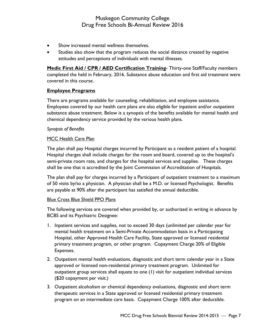- Show increased mental wellness themselves.
- Studies also show that the program reduces the social distance created by negative attitudes and perceptions of individuals with mental illnesses.

**Medic First Aid / CPR / AED Certification Training-** Thirty-one Staff/Faculty members completed the held in February, 2016. Substance abuse education and first aid treatment were covered in this course.

#### **Employee Programs**

There are programs available for counseling, rehabilitation, and employee assistance. Employees covered by our health care plans are also eligible for inpatient and/or outpatient substance abuse treatment. Below is a synopsis of the benefits available for mental health and chemical dependency service provided by the various health plans.

#### *Synopsis of Benefits*

#### MCC Health Care Plan

The plan shall pay Hospital charges incurred by Participant as a resident patient of a hospital. Hospital charges shall include charges for the room and board, covered up to the hospital's semi-private room rate, and charges for the hospital services and supplies. These charges shall be one that is accredited by the Joint Commission of Accreditation of Hospitals.

The plan shall pay for charges incurred by a Participant of outpatient treatment to a maximum of 50 visits by/to a physician. A physician shall be a M.D. or licensed Psychologist. Benefits are payable at 90% after the participant has satisfied the annual deductible.

#### Blue Cross Blue Shield PPO Plans

The following services are covered when provided by, or authorized in writing in advance by BCBS and its Psychiatric Designee:

- 1. Inpatient services and supplies, not to exceed 30 days (unlimited per calendar year for mental health treatment on a Semi-Private Accommodation basis in a Participating Hospital, other Approved Health Care Facility, State approved or licensed residential primary treatment program, or other program. Copayment Charge 20% of Eligible Expenses.
- 2. Outpatient mental health evaluations, diagnostic and short term calendar year in a State approved or licensed non-residential primary treatment program. Unlimited for outpatient group services shall equate to one (1) visit for outpatient individual services (\$20 copayment per visit.)
- 3. Outpatient alcoholism or chemical dependency evaluations, diagnostic and short term therapeutic services in a State approved or licensed residential primary treatment program on an intermediate care basis. Copayment Charge 100% after deductible.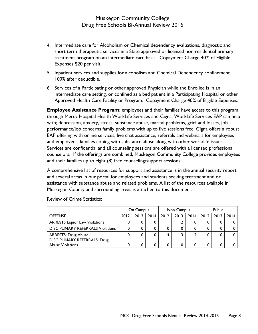- 4. Intermediate care for Alcoholism or Chemical dependency evaluations, diagnostic and short term therapeutic services in a State approved or licensed non-residential primary treatment program on an intermediate care basis. Copayment Charge 40% of Eligible Expenses \$20 per visit.
- 5. Inpatient services and supplies for alcoholism and Chemical Dependency confinement. 100% after deductible.
- 6. Services of a Participating or other approved Physician while the Enrollee is in an intermediate care setting, or confined as a bed patient in a Participating Hospital or other Approved Health Care Facility or Program. Copayment Charge 40% of Eligible Expenses.

**Employee Assistance Program:** employees and their families have access to this program through Mercy Hospital Health WorkLife Services and Cigna. WorkLife Services EAP can help with; depression, anxiety, stress, substance abuse, marital problems, grief and losses, job performance/job concerns family problems with up to five sessions free. Cigna offers a robust EAP offering with online services, live chat assistance, referrals and webinars for employees and employee's families coping with substance abuse along with other work/life issues. Services are confidential and all counseling sessions are offered with a licensed professional counselors. If the offerings are combined, Muskegon Community College provides employees and their families up to eight (8) free counseling/support sessions.

A comprehensive list of resources for support and assistance is in the annual security report and several areas in our portal for employees and students seeking treatment and or assistance with substance abuse and related problems. A list of the resources available in Muskegon County and surrounding areas is attached to this document.

|                                          | On Campus |      | Non-Campus |      |      | Public |      |      |      |
|------------------------------------------|-----------|------|------------|------|------|--------|------|------|------|
| <b>OFFENSE</b>                           | 2012      | 2013 | 2014       | 2012 | 2013 | 2014   | 2012 | 2013 | 2014 |
| <b>ARRESTS Liquor Law Violations</b>     |           |      | 0          |      |      |        |      | 0    |      |
| <b>DISCIPLINARY REFERRALS Violations</b> |           |      | 0          |      |      |        |      | 0    |      |
| <b>ARRESTS: Drug Abuse</b>               |           |      | 0          | 4    |      |        |      | 0    |      |
| <b>DISCIPLINARY REFERRALS: Drug</b>      |           |      |            |      |      |        |      |      |      |
| <b>Abuse Violations</b>                  |           |      | 0          |      |      |        |      |      |      |

Review of Crime Statistics: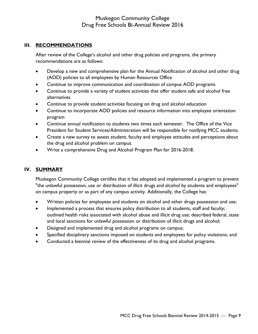### **III. RECOMMENDATIONS**

After review of the College's alcohol and other drug policies and programs, the primary recommendations are as follows:

- Develop a new and comprehensive plan for the Annual Notification of alcohol and other drug (AOD) policies to all employees by Human Resources Office
- Continue to improve communication and coordination of campus AOD programs
- Continue to provide a variety of student activities that offer student safe and alcohol free alternatives
- Continue to provide student activities focusing on drug and alcohol education
- Continue to incorporate AOD policies and resource information into employee orientation program
- Continue annual notification to students two times each semester. The Office of the Vice President for Student Services/Administration will be responsible for notifying MCC students.
- Create a new survey to assess student, faculty and employee attitudes and perceptions about the drug and alcohol problem on campus.
- Write a comprehensive Drug and Alcohol Program Plan for 2016-2018.

# **IV. SUMMARY**

Muskegon Community College certifies that it has adopted and implemented a program to prevent "the unlawful possession, use or distribution of illicit drugs and alcohol by students and employees" on campus property or as part of any campus activity. Additionally, the College has:

- Written policies for employees and students on alcohol and other drugs possession and use;
- Implemented a process that ensures policy distribution to all students, staff and faculty; outlined health risks associated with alcohol abuse and illicit drug use; described federal, state and local sanctions for unlawful possession or distribution of illicit drugs and alcohol;
- Designed and implemented drug and alcohol programs on campus;
- Specified disciplinary sanctions imposed on students and employees for policy violations; and
- Conducted a biennial review of the effectiveness of its drug and alcohol programs.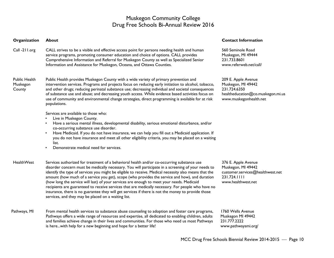#### **Organization About Contact Information**

Call -211.org CALL strives to be a visible and effective access point for persons needing health and human service programs, promoting consumer education and choice of options. CALL provides Comprehensive Information and Referral for Muskegon County as well as Specialized Senior Information and Assistance for Muskegon, Oceana, and Ottawa Counties.

#### Public Health Muskegon **County**

Public Health provides Muskegon County with a wide variety of primary prevention and intervention services. Programs and projects focus on reducing early initiation to alcohol, tobacco, and other drugs; reducing perinatal substance use; decreasing individual and societal consequences of substance use and abuse; and decreasing youth access. While evidence based activities focus on use of community and environmental change strategies, direct programming is available for at risk populations.

Services are available to those who:

- •Live in Muskegon County.
- • Have a serious mental illness, developmental disability, serious emotional disturbance, and/or co-occurring substance use disorder.
- • Have Medicaid. If you do not have insurance, we can help you fill out a Medicaid application. If you do not have insurance and meet all other eligibility criteria, you may be placed on a waiting list.
- •Demonstrate medical need for services.
- **HealthWest** Services authorized for treatment of a behavioral health and/or co-occurring substance use disorder concern must be medically necessary. You will participate in a screening of your needs to identify the type of services you might be eligible to receive. Medical necessity also means that the amount (how much of a service you get), scope (who provides the service and how), and duration (how long the service will last) of your services are enough to meet your needs. Medicaid recipients are guaranteed to receive services that are medically necessary. For people who have no insurance, there is no guarantee they will get services if there is not the money to provide those services, and they may be placed on a waiting list.
- Pathways, MI From mental health services to substance abuse counseling to adoption and foster care programs, Pathways offers a wide range of resources and expertise, all dedicated to enabling children, adults and families achieve change in their lives and communities. For those who need us most Pathways is here...with help for a new beginning and hope for a better life!

560 Seminole Road Muskegon, MI 49444 231.733.8601 www.referweb.net/call/

209 E. Apple Avenue Muskegon, MI 49442 231.724.6350 healtheducation@co.muskegon.mi.us www.muskegonhealth.net

376 E. Apple Avenue Muskegon, MI 49442 customer.services@healthwest.net 231.724.1111 www.healthwest.net

1760 Wells Avenue Muskegon MI 49442 231.777.2222 www.pathwaysmi.org/